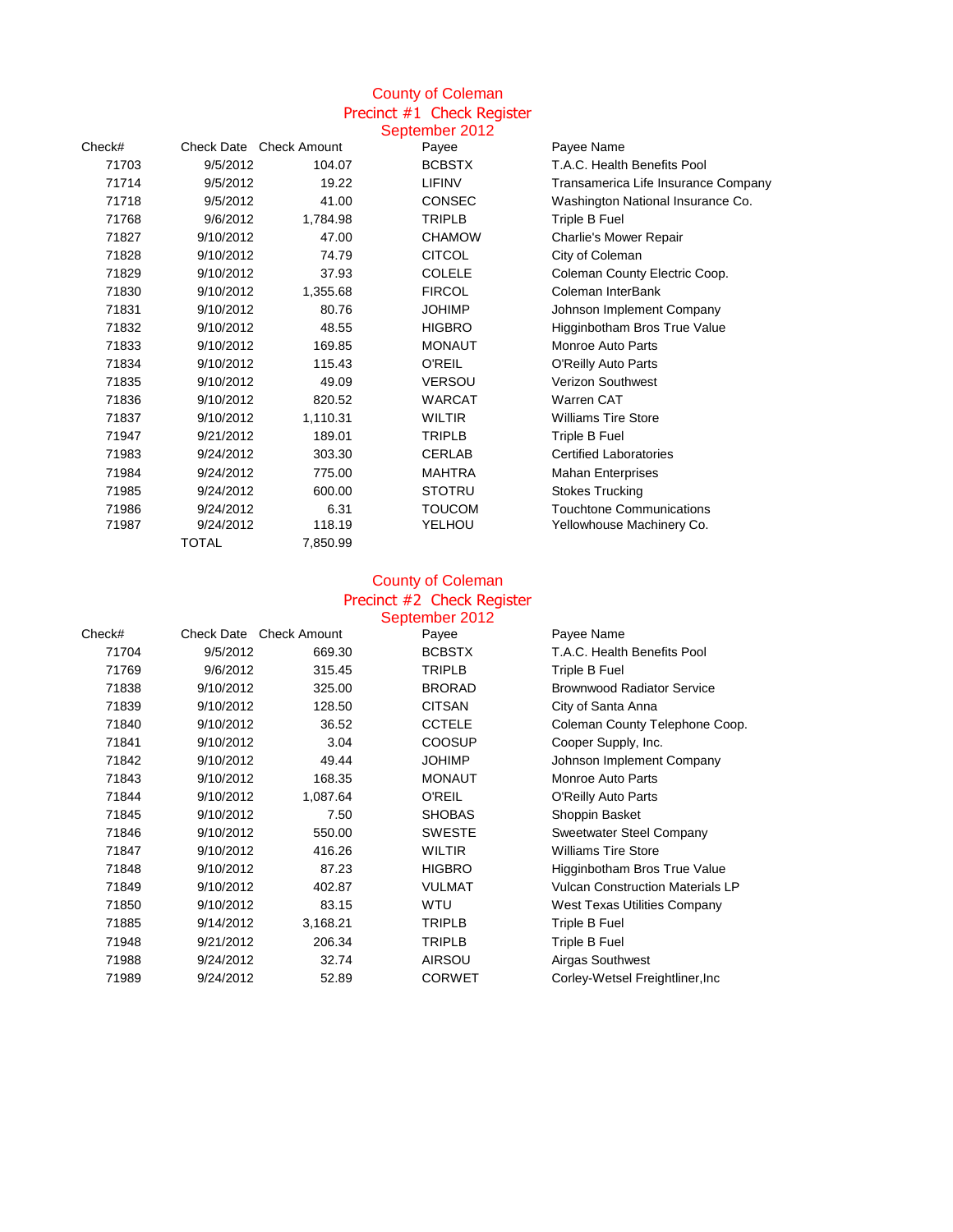# County of Coleman Precinct #1 Check Register

|        |              |                         | September 2012 |                                     |
|--------|--------------|-------------------------|----------------|-------------------------------------|
| Check# |              | Check Date Check Amount | Payee          | Payee Name                          |
| 71703  | 9/5/2012     | 104.07                  | <b>BCBSTX</b>  | T.A.C. Health Benefits Pool         |
| 71714  | 9/5/2012     | 19.22                   | <b>LIFINV</b>  | Transamerica Life Insurance Company |
| 71718  | 9/5/2012     | 41.00                   | <b>CONSEC</b>  | Washington National Insurance Co.   |
| 71768  | 9/6/2012     | 1,784.98                | <b>TRIPLB</b>  | Triple B Fuel                       |
| 71827  | 9/10/2012    | 47.00                   | <b>CHAMOW</b>  | Charlie's Mower Repair              |
| 71828  | 9/10/2012    | 74.79                   | <b>CITCOL</b>  | City of Coleman                     |
| 71829  | 9/10/2012    | 37.93                   | <b>COLELE</b>  | Coleman County Electric Coop.       |
| 71830  | 9/10/2012    | 1,355.68                | <b>FIRCOL</b>  | Coleman InterBank                   |
| 71831  | 9/10/2012    | 80.76                   | <b>JOHIMP</b>  | Johnson Implement Company           |
| 71832  | 9/10/2012    | 48.55                   | <b>HIGBRO</b>  | Higginbotham Bros True Value        |
| 71833  | 9/10/2012    | 169.85                  | <b>MONAUT</b>  | Monroe Auto Parts                   |
| 71834  | 9/10/2012    | 115.43                  | <b>O'REIL</b>  | O'Reilly Auto Parts                 |
| 71835  | 9/10/2012    | 49.09                   | <b>VERSOU</b>  | <b>Verizon Southwest</b>            |
| 71836  | 9/10/2012    | 820.52                  | <b>WARCAT</b>  | <b>Warren CAT</b>                   |
| 71837  | 9/10/2012    | 1,110.31                | <b>WILTIR</b>  | <b>Williams Tire Store</b>          |
| 71947  | 9/21/2012    | 189.01                  | <b>TRIPLB</b>  | Triple B Fuel                       |
| 71983  | 9/24/2012    | 303.30                  | <b>CERLAB</b>  | <b>Certified Laboratories</b>       |
| 71984  | 9/24/2012    | 775.00                  | <b>MAHTRA</b>  | <b>Mahan Enterprises</b>            |
| 71985  | 9/24/2012    | 600.00                  | <b>STOTRU</b>  | <b>Stokes Trucking</b>              |
| 71986  | 9/24/2012    | 6.31                    | <b>TOUCOM</b>  | <b>Touchtone Communications</b>     |
| 71987  | 9/24/2012    | 118.19                  | YELHOU         | Yellowhouse Machinery Co.           |
|        | <b>TOTAL</b> | 7,850.99                |                |                                     |

### County of Coleman Precinct #2 Check Register

|        |           |                                | September 2012 |                                         |
|--------|-----------|--------------------------------|----------------|-----------------------------------------|
| Check# |           | <b>Check Date Check Amount</b> | Payee          | Payee Name                              |
| 71704  | 9/5/2012  | 669.30                         | <b>BCBSTX</b>  | T.A.C. Health Benefits Pool             |
| 71769  | 9/6/2012  | 315.45                         | TRIPLB         | Triple B Fuel                           |
| 71838  | 9/10/2012 | 325.00                         | <b>BRORAD</b>  | <b>Brownwood Radiator Service</b>       |
| 71839  | 9/10/2012 | 128.50                         | <b>CITSAN</b>  | City of Santa Anna                      |
| 71840  | 9/10/2012 | 36.52                          | <b>CCTELE</b>  | Coleman County Telephone Coop.          |
| 71841  | 9/10/2012 | 3.04                           | <b>COOSUP</b>  | Cooper Supply, Inc.                     |
| 71842  | 9/10/2012 | 49.44                          | <b>JOHIMP</b>  | Johnson Implement Company               |
| 71843  | 9/10/2012 | 168.35                         | <b>MONAUT</b>  | Monroe Auto Parts                       |
| 71844  | 9/10/2012 | 1,087.64                       | O'REIL         | <b>O'Reilly Auto Parts</b>              |
| 71845  | 9/10/2012 | 7.50                           | <b>SHOBAS</b>  | Shoppin Basket                          |
| 71846  | 9/10/2012 | 550.00                         | <b>SWESTE</b>  | <b>Sweetwater Steel Company</b>         |
| 71847  | 9/10/2012 | 416.26                         | <b>WILTIR</b>  | <b>Williams Tire Store</b>              |
| 71848  | 9/10/2012 | 87.23                          | <b>HIGBRO</b>  | Higginbotham Bros True Value            |
| 71849  | 9/10/2012 | 402.87                         | <b>VULMAT</b>  | <b>Vulcan Construction Materials LP</b> |
| 71850  | 9/10/2012 | 83.15                          | WTU            | <b>West Texas Utilities Company</b>     |
| 71885  | 9/14/2012 | 3,168.21                       | TRIPLB         | Triple B Fuel                           |
| 71948  | 9/21/2012 | 206.34                         | TRIPLB         | Triple B Fuel                           |
| 71988  | 9/24/2012 | 32.74                          | <b>AIRSOU</b>  | Airgas Southwest                        |
| 71989  | 9/24/2012 | 52.89                          | <b>CORWET</b>  | Corley-Wetsel Freightliner, Inc.        |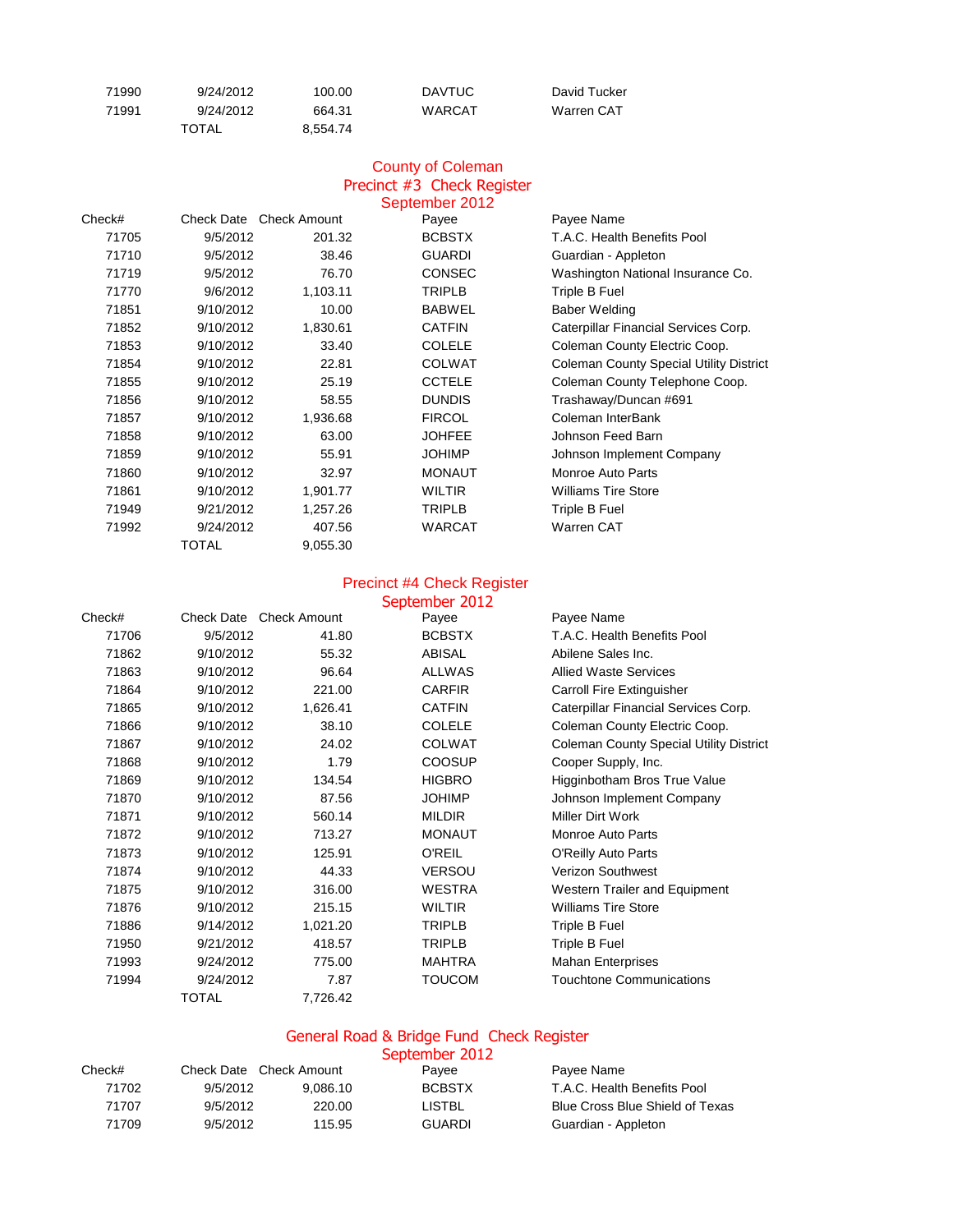| 71990 | 9/24/2012 | 100.00   | <b>DAVTUC</b> | David Tucker |
|-------|-----------|----------|---------------|--------------|
| 71991 | 9/24/2012 | 664.31   | WARCAT        | Warren CAT   |
|       | TOTAL     | 8.554.74 |               |              |

#### County of Coleman Precinct #3 Check Register September 2012

| Check# | Check Date | <b>Check Amount</b> | $\sim$        | Payee Name                                     |
|--------|------------|---------------------|---------------|------------------------------------------------|
|        |            |                     | Payee         |                                                |
| 71705  | 9/5/2012   | 201.32              | <b>BCBSTX</b> | T.A.C. Health Benefits Pool                    |
| 71710  | 9/5/2012   | 38.46               | <b>GUARDI</b> | Guardian - Appleton                            |
| 71719  | 9/5/2012   | 76.70               | <b>CONSEC</b> | Washington National Insurance Co.              |
| 71770  | 9/6/2012   | 1,103.11            | <b>TRIPLB</b> | Triple B Fuel                                  |
| 71851  | 9/10/2012  | 10.00               | <b>BABWEL</b> | <b>Baber Welding</b>                           |
| 71852  | 9/10/2012  | 1,830.61            | <b>CATFIN</b> | Caterpillar Financial Services Corp.           |
| 71853  | 9/10/2012  | 33.40               | <b>COLELE</b> | Coleman County Electric Coop.                  |
| 71854  | 9/10/2012  | 22.81               | <b>COLWAT</b> | <b>Coleman County Special Utility District</b> |
| 71855  | 9/10/2012  | 25.19               | <b>CCTELE</b> | Coleman County Telephone Coop.                 |
| 71856  | 9/10/2012  | 58.55               | <b>DUNDIS</b> | Trashaway/Duncan #691                          |
| 71857  | 9/10/2012  | 1,936.68            | <b>FIRCOL</b> | Coleman InterBank                              |
| 71858  | 9/10/2012  | 63.00               | <b>JOHFEE</b> | Johnson Feed Barn                              |
| 71859  | 9/10/2012  | 55.91               | <b>JOHIMP</b> | Johnson Implement Company                      |
| 71860  | 9/10/2012  | 32.97               | <b>MONAUT</b> | Monroe Auto Parts                              |
| 71861  | 9/10/2012  | 1,901.77            | <b>WILTIR</b> | <b>Williams Tire Store</b>                     |
| 71949  | 9/21/2012  | 1,257.26            | <b>TRIPLB</b> | Triple B Fuel                                  |
| 71992  | 9/24/2012  | 407.56              | <b>WARCAT</b> | Warren CAT                                     |
|        | TOTAL      | 9,055.30            |               |                                                |
|        |            |                     |               |                                                |

## Precinct #4 Check Register

|        |              |                         | September 2012 |                                                |
|--------|--------------|-------------------------|----------------|------------------------------------------------|
| Check# |              | Check Date Check Amount | Payee          | Payee Name                                     |
| 71706  | 9/5/2012     | 41.80                   | <b>BCBSTX</b>  | T.A.C. Health Benefits Pool                    |
| 71862  | 9/10/2012    | 55.32                   | <b>ABISAL</b>  | Abilene Sales Inc.                             |
| 71863  | 9/10/2012    | 96.64                   | <b>ALLWAS</b>  | <b>Allied Waste Services</b>                   |
| 71864  | 9/10/2012    | 221.00                  | <b>CARFIR</b>  | <b>Carroll Fire Extinguisher</b>               |
| 71865  | 9/10/2012    | 1,626.41                | <b>CATFIN</b>  | Caterpillar Financial Services Corp.           |
| 71866  | 9/10/2012    | 38.10                   | <b>COLELE</b>  | Coleman County Electric Coop.                  |
| 71867  | 9/10/2012    | 24.02                   | <b>COLWAT</b>  | <b>Coleman County Special Utility District</b> |
| 71868  | 9/10/2012    | 1.79                    | <b>COOSUP</b>  | Cooper Supply, Inc.                            |
| 71869  | 9/10/2012    | 134.54                  | <b>HIGBRO</b>  | Higginbotham Bros True Value                   |
| 71870  | 9/10/2012    | 87.56                   | <b>JOHIMP</b>  | Johnson Implement Company                      |
| 71871  | 9/10/2012    | 560.14                  | <b>MILDIR</b>  | Miller Dirt Work                               |
| 71872  | 9/10/2012    | 713.27                  | <b>MONAUT</b>  | Monroe Auto Parts                              |
| 71873  | 9/10/2012    | 125.91                  | <b>O'REIL</b>  | <b>O'Reilly Auto Parts</b>                     |
| 71874  | 9/10/2012    | 44.33                   | <b>VERSOU</b>  | Verizon Southwest                              |
| 71875  | 9/10/2012    | 316.00                  | <b>WESTRA</b>  | <b>Western Trailer and Equipment</b>           |
| 71876  | 9/10/2012    | 215.15                  | <b>WILTIR</b>  | <b>Williams Tire Store</b>                     |
| 71886  | 9/14/2012    | 1,021.20                | <b>TRIPLB</b>  | Triple B Fuel                                  |
| 71950  | 9/21/2012    | 418.57                  | <b>TRIPLB</b>  | Triple B Fuel                                  |
| 71993  | 9/24/2012    | 775.00                  | <b>MAHTRA</b>  | <b>Mahan Enterprises</b>                       |
| 71994  | 9/24/2012    | 7.87                    | <b>TOUCOM</b>  | <b>Touchtone Communications</b>                |
|        | <b>TOTAL</b> | 7,726.42                |                |                                                |
|        |              |                         |                |                                                |

#### General Road & Bridge Fund Check Register

|        |                         |          | September 2012 |                                        |
|--------|-------------------------|----------|----------------|----------------------------------------|
| Check# | Check Date Check Amount |          | Pavee          | Payee Name                             |
| 71702  | 9/5/2012                | 9.086.10 | <b>BCBSTX</b>  | T.A.C. Health Benefits Pool            |
| 71707  | 9/5/2012                | 220.00   | LISTBL         | <b>Blue Cross Blue Shield of Texas</b> |
| 71709  | 9/5/2012                | 115.95   | <b>GUARDI</b>  | Guardian - Appleton                    |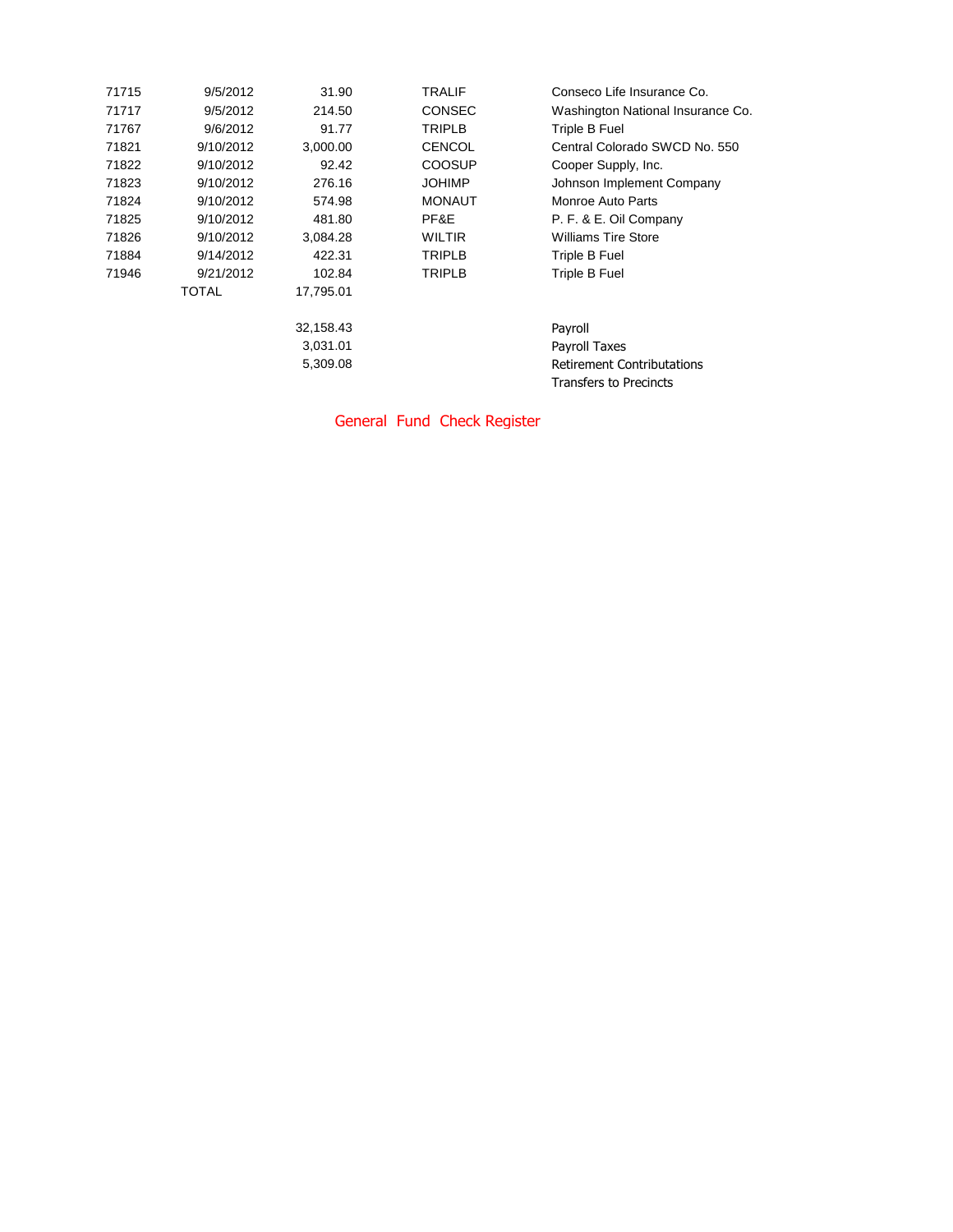| 9/5/2012  | 31.90     | <b>TRALIF</b> | Conseco Life Insurance Co.        |
|-----------|-----------|---------------|-----------------------------------|
| 9/5/2012  | 214.50    | <b>CONSEC</b> | Washington National Insurance Co. |
| 9/6/2012  | 91.77     | <b>TRIPLB</b> | Triple B Fuel                     |
| 9/10/2012 | 3,000.00  | <b>CENCOL</b> | Central Colorado SWCD No. 550     |
| 9/10/2012 | 92.42     | <b>COOSUP</b> | Cooper Supply, Inc.               |
| 9/10/2012 | 276.16    | <b>JOHIMP</b> | Johnson Implement Company         |
| 9/10/2012 | 574.98    | <b>MONAUT</b> | Monroe Auto Parts                 |
| 9/10/2012 | 481.80    | PF&E          | P. F. & E. Oil Company            |
| 9/10/2012 | 3,084.28  | <b>WILTIR</b> | <b>Williams Tire Store</b>        |
| 9/14/2012 | 422.31    | <b>TRIPLB</b> | Triple B Fuel                     |
| 9/21/2012 | 102.84    | <b>TRIPLB</b> | Triple B Fuel                     |
| TOTAL     | 17,795.01 |               |                                   |
|           | 32,158.43 |               | Payroll                           |
|           | 3,031.01  |               | Payroll Taxes                     |
|           | 5,309.08  |               | <b>Retirement Contributations</b> |
|           |           |               | Transfers to Precincts            |
|           |           |               |                                   |

General Fund Check Register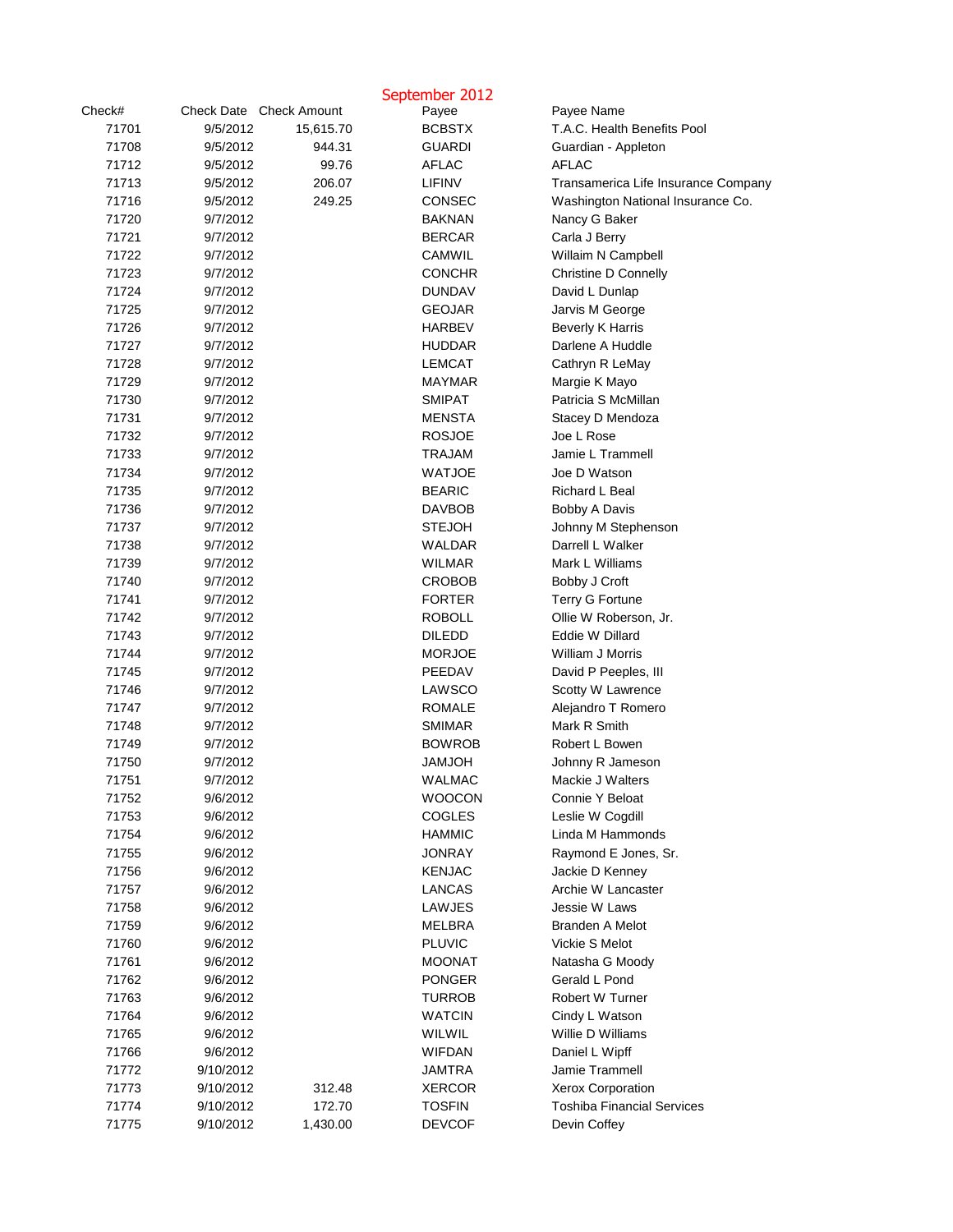|        |                         |           | September 2012 |                                     |
|--------|-------------------------|-----------|----------------|-------------------------------------|
| Check# | Check Date Check Amount |           | Payee          | Payee Name                          |
| 71701  | 9/5/2012                | 15,615.70 | <b>BCBSTX</b>  | T.A.C. Health Benefits Pool         |
| 71708  | 9/5/2012                | 944.31    | <b>GUARDI</b>  | Guardian - Appleton                 |
| 71712  | 9/5/2012                | 99.76     | <b>AFLAC</b>   | <b>AFLAC</b>                        |
| 71713  | 9/5/2012                | 206.07    | <b>LIFINV</b>  | Transamerica Life Insurance Company |
| 71716  | 9/5/2012                | 249.25    | <b>CONSEC</b>  | Washington National Insurance Co.   |
| 71720  | 9/7/2012                |           | <b>BAKNAN</b>  | Nancy G Baker                       |
| 71721  | 9/7/2012                |           | <b>BERCAR</b>  | Carla J Berry                       |
| 71722  | 9/7/2012                |           | <b>CAMWIL</b>  | Willaim N Campbell                  |
| 71723  | 9/7/2012                |           | <b>CONCHR</b>  | <b>Christine D Connelly</b>         |
| 71724  | 9/7/2012                |           | <b>DUNDAV</b>  | David L Dunlap                      |
| 71725  | 9/7/2012                |           | <b>GEOJAR</b>  | Jarvis M George                     |
| 71726  | 9/7/2012                |           | <b>HARBEV</b>  | <b>Beverly K Harris</b>             |
| 71727  | 9/7/2012                |           | <b>HUDDAR</b>  | Darlene A Huddle                    |
| 71728  | 9/7/2012                |           | <b>LEMCAT</b>  | Cathryn R LeMay                     |
| 71729  | 9/7/2012                |           | <b>MAYMAR</b>  | Margie K Mayo                       |
| 71730  | 9/7/2012                |           | <b>SMIPAT</b>  | Patricia S McMillan                 |
| 71731  | 9/7/2012                |           | <b>MENSTA</b>  | Stacey D Mendoza                    |
| 71732  | 9/7/2012                |           | <b>ROSJOE</b>  | Joe L Rose                          |
| 71733  | 9/7/2012                |           | <b>TRAJAM</b>  | Jamie L Trammell                    |
| 71734  | 9/7/2012                |           | <b>WATJOE</b>  | Joe D Watson                        |
| 71735  | 9/7/2012                |           | <b>BEARIC</b>  | Richard L Beal                      |
| 71736  | 9/7/2012                |           | <b>DAVBOB</b>  | Bobby A Davis                       |
| 71737  | 9/7/2012                |           | <b>STEJOH</b>  | Johnny M Stephenson                 |
| 71738  | 9/7/2012                |           | <b>WALDAR</b>  | Darrell L Walker                    |
| 71739  | 9/7/2012                |           | <b>WILMAR</b>  | Mark L Williams                     |
| 71740  | 9/7/2012                |           | <b>CROBOB</b>  | Bobby J Croft                       |
| 71741  | 9/7/2012                |           | <b>FORTER</b>  | <b>Terry G Fortune</b>              |
| 71742  | 9/7/2012                |           | <b>ROBOLL</b>  | Ollie W Roberson, Jr.               |
| 71743  | 9/7/2012                |           | <b>DILEDD</b>  | Eddie W Dillard                     |
| 71744  | 9/7/2012                |           | <b>MORJOE</b>  | William J Morris                    |
| 71745  | 9/7/2012                |           | PEEDAV         | David P Peeples, III                |
| 71746  | 9/7/2012                |           | <b>LAWSCO</b>  | Scotty W Lawrence                   |
| 71747  | 9/7/2012                |           | <b>ROMALE</b>  | Alejandro T Romero                  |
| 71748  | 9/7/2012                |           | <b>SMIMAR</b>  | Mark R Smith                        |
| 71749  | 9/7/2012                |           | <b>BOWROB</b>  | Robert L Bowen                      |
| 71750  | 9/7/2012                |           | <b>HOLMAL</b>  | Johnny R Jameson                    |
| 71751  | 9/7/2012                |           | <b>WALMAC</b>  | Mackie J Walters                    |
| 71752  | 9/6/2012                |           | <b>WOOCON</b>  | Connie Y Beloat                     |
| 71753  | 9/6/2012                |           | <b>COGLES</b>  | Leslie W Cogdill                    |
| 71754  | 9/6/2012                |           | <b>HAMMIC</b>  | Linda M Hammonds                    |
| 71755  | 9/6/2012                |           | <b>JONRAY</b>  | Raymond E Jones, Sr.                |
| 71756  | 9/6/2012                |           | <b>KENJAC</b>  | Jackie D Kenney                     |
| 71757  | 9/6/2012                |           | <b>LANCAS</b>  | Archie W Lancaster                  |
| 71758  | 9/6/2012                |           | <b>LAWJES</b>  | Jessie W Laws                       |
| 71759  | 9/6/2012                |           | MELBRA         | <b>Branden A Melot</b>              |
| 71760  | 9/6/2012                |           | <b>PLUVIC</b>  | Vickie S Melot                      |
| 71761  | 9/6/2012                |           | <b>MOONAT</b>  | Natasha G Moody                     |
| 71762  | 9/6/2012                |           | <b>PONGER</b>  | Gerald L Pond                       |
| 71763  | 9/6/2012                |           | <b>TURROB</b>  | Robert W Turner                     |
| 71764  | 9/6/2012                |           | <b>WATCIN</b>  | Cindy L Watson                      |
| 71765  | 9/6/2012                |           | <b>WILWIL</b>  | Willie D Williams                   |
| 71766  | 9/6/2012                |           | <b>WIFDAN</b>  | Daniel L Wipff                      |
| 71772  | 9/10/2012               |           | <b>JAMTRA</b>  | Jamie Trammell                      |
| 71773  | 9/10/2012               | 312.48    | <b>XERCOR</b>  | <b>Xerox Corporation</b>            |
| 71774  | 9/10/2012               | 172.70    | <b>TOSFIN</b>  | <b>Toshiba Financial Services</b>   |
| 71775  | 9/10/2012               | 1,430.00  | <b>DEVCOF</b>  | Devin Coffey                        |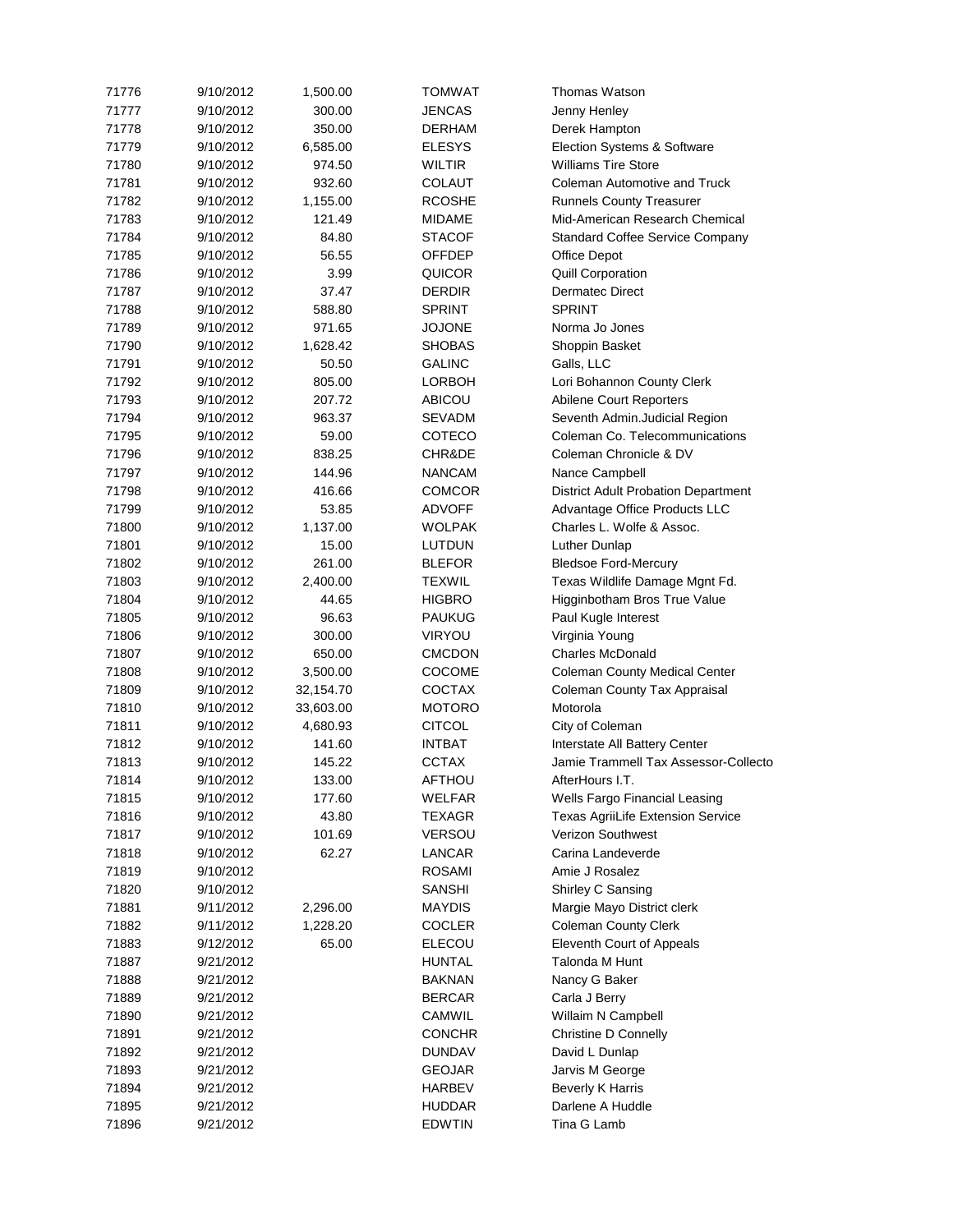| 71776 | 9/10/2012 | 1,500.00  | <b>TOMWAT</b> | Thomas Watson                              |
|-------|-----------|-----------|---------------|--------------------------------------------|
| 71777 | 9/10/2012 | 300.00    | <b>JENCAS</b> | Jenny Henley                               |
| 71778 | 9/10/2012 | 350.00    | <b>DERHAM</b> | Derek Hampton                              |
| 71779 | 9/10/2012 | 6,585.00  | <b>ELESYS</b> | Election Systems & Software                |
| 71780 | 9/10/2012 | 974.50    | <b>WILTIR</b> | <b>Williams Tire Store</b>                 |
| 71781 | 9/10/2012 | 932.60    | <b>COLAUT</b> | <b>Coleman Automotive and Truck</b>        |
| 71782 | 9/10/2012 | 1,155.00  | <b>RCOSHE</b> | <b>Runnels County Treasurer</b>            |
| 71783 | 9/10/2012 | 121.49    | <b>MIDAME</b> | Mid-American Research Chemical             |
|       |           |           |               |                                            |
| 71784 | 9/10/2012 | 84.80     | <b>STACOF</b> | <b>Standard Coffee Service Company</b>     |
| 71785 | 9/10/2012 | 56.55     | <b>OFFDEP</b> | <b>Office Depot</b>                        |
| 71786 | 9/10/2012 | 3.99      | <b>QUICOR</b> | <b>Quill Corporation</b>                   |
| 71787 | 9/10/2012 | 37.47     | <b>DERDIR</b> | <b>Dermatec Direct</b>                     |
| 71788 | 9/10/2012 | 588.80    | <b>SPRINT</b> | <b>SPRINT</b>                              |
| 71789 | 9/10/2012 | 971.65    | <b>JOJONE</b> | Norma Jo Jones                             |
| 71790 | 9/10/2012 | 1,628.42  | <b>SHOBAS</b> | Shoppin Basket                             |
| 71791 | 9/10/2012 | 50.50     | <b>GALINC</b> | Galls, LLC                                 |
| 71792 | 9/10/2012 | 805.00    | <b>LORBOH</b> | Lori Bohannon County Clerk                 |
| 71793 | 9/10/2012 | 207.72    | <b>ABICOU</b> | Abilene Court Reporters                    |
| 71794 | 9/10/2012 | 963.37    | <b>SEVADM</b> | Seventh Admin.Judicial Region              |
| 71795 | 9/10/2012 | 59.00     | <b>COTECO</b> | Coleman Co. Telecommunications             |
| 71796 | 9/10/2012 | 838.25    | CHR&DE        | Coleman Chronicle & DV                     |
| 71797 | 9/10/2012 | 144.96    | <b>NANCAM</b> | Nance Campbell                             |
| 71798 | 9/10/2012 | 416.66    | <b>COMCOR</b> | <b>District Adult Probation Department</b> |
| 71799 | 9/10/2012 | 53.85     | <b>ADVOFF</b> | Advantage Office Products LLC              |
| 71800 | 9/10/2012 | 1,137.00  | <b>WOLPAK</b> | Charles L. Wolfe & Assoc.                  |
|       |           |           |               |                                            |
| 71801 | 9/10/2012 | 15.00     | <b>LUTDUN</b> | Luther Dunlap                              |
| 71802 | 9/10/2012 | 261.00    | <b>BLEFOR</b> | <b>Bledsoe Ford-Mercury</b>                |
| 71803 | 9/10/2012 | 2,400.00  | <b>TEXWIL</b> | Texas Wildlife Damage Mgnt Fd.             |
| 71804 | 9/10/2012 | 44.65     | <b>HIGBRO</b> | Higginbotham Bros True Value               |
| 71805 | 9/10/2012 | 96.63     | <b>PAUKUG</b> | Paul Kugle Interest                        |
| 71806 | 9/10/2012 | 300.00    | <b>VIRYOU</b> | Virginia Young                             |
| 71807 | 9/10/2012 | 650.00    | <b>CMCDON</b> | <b>Charles McDonald</b>                    |
| 71808 | 9/10/2012 | 3,500.00  | <b>COCOME</b> | <b>Coleman County Medical Center</b>       |
| 71809 | 9/10/2012 | 32,154.70 | <b>COCTAX</b> | <b>Coleman County Tax Appraisal</b>        |
| 71810 | 9/10/2012 | 33,603.00 | <b>MOTORO</b> | Motorola                                   |
| 71811 | 9/10/2012 | 4,680.93  | <b>CITCOL</b> | City of Coleman                            |
| 71812 | 9/10/2012 | 141.60    | <b>INTBAT</b> | Interstate All Battery Center              |
| 71813 | 9/10/2012 | 145.22    | <b>CCTAX</b>  | Jamie Trammell Tax Assessor-Collecto       |
| 71814 | 9/10/2012 | 133.00    | <b>AFTHOU</b> | AfterHours I.T.                            |
| 71815 | 9/10/2012 | 177.60    | <b>WELFAR</b> | Wells Fargo Financial Leasing              |
| 71816 | 9/10/2012 | 43.80     | <b>TEXAGR</b> | <b>Texas AgriiLife Extension Service</b>   |
| 71817 | 9/10/2012 | 101.69    | <b>VERSOU</b> | Verizon Southwest                          |
| 71818 | 9/10/2012 | 62.27     | <b>LANCAR</b> | Carina Landeverde                          |
| 71819 | 9/10/2012 |           | <b>ROSAMI</b> | Amie J Rosalez                             |
| 71820 | 9/10/2012 |           | <b>SANSHI</b> | Shirley C Sansing                          |
| 71881 | 9/11/2012 | 2,296.00  | <b>MAYDIS</b> |                                            |
| 71882 | 9/11/2012 | 1,228.20  |               | Margie Mayo District clerk                 |
|       |           |           | <b>COCLER</b> | <b>Coleman County Clerk</b>                |
| 71883 | 9/12/2012 | 65.00     | <b>ELECOU</b> | <b>Eleventh Court of Appeals</b>           |
| 71887 | 9/21/2012 |           | <b>HUNTAL</b> | Talonda M Hunt                             |
| 71888 | 9/21/2012 |           | <b>BAKNAN</b> | Nancy G Baker                              |
| 71889 | 9/21/2012 |           | <b>BERCAR</b> | Carla J Berry                              |
| 71890 | 9/21/2012 |           | <b>CAMWIL</b> | Willaim N Campbell                         |
| 71891 | 9/21/2012 |           | <b>CONCHR</b> | <b>Christine D Connelly</b>                |
| 71892 | 9/21/2012 |           | <b>DUNDAV</b> | David L Dunlap                             |
| 71893 | 9/21/2012 |           | <b>GEOJAR</b> | Jarvis M George                            |
| 71894 | 9/21/2012 |           | <b>HARBEV</b> | <b>Beverly K Harris</b>                    |
| 71895 | 9/21/2012 |           | <b>HUDDAR</b> | Darlene A Huddle                           |
| 71896 | 9/21/2012 |           | <b>EDWTIN</b> | Tina G Lamb                                |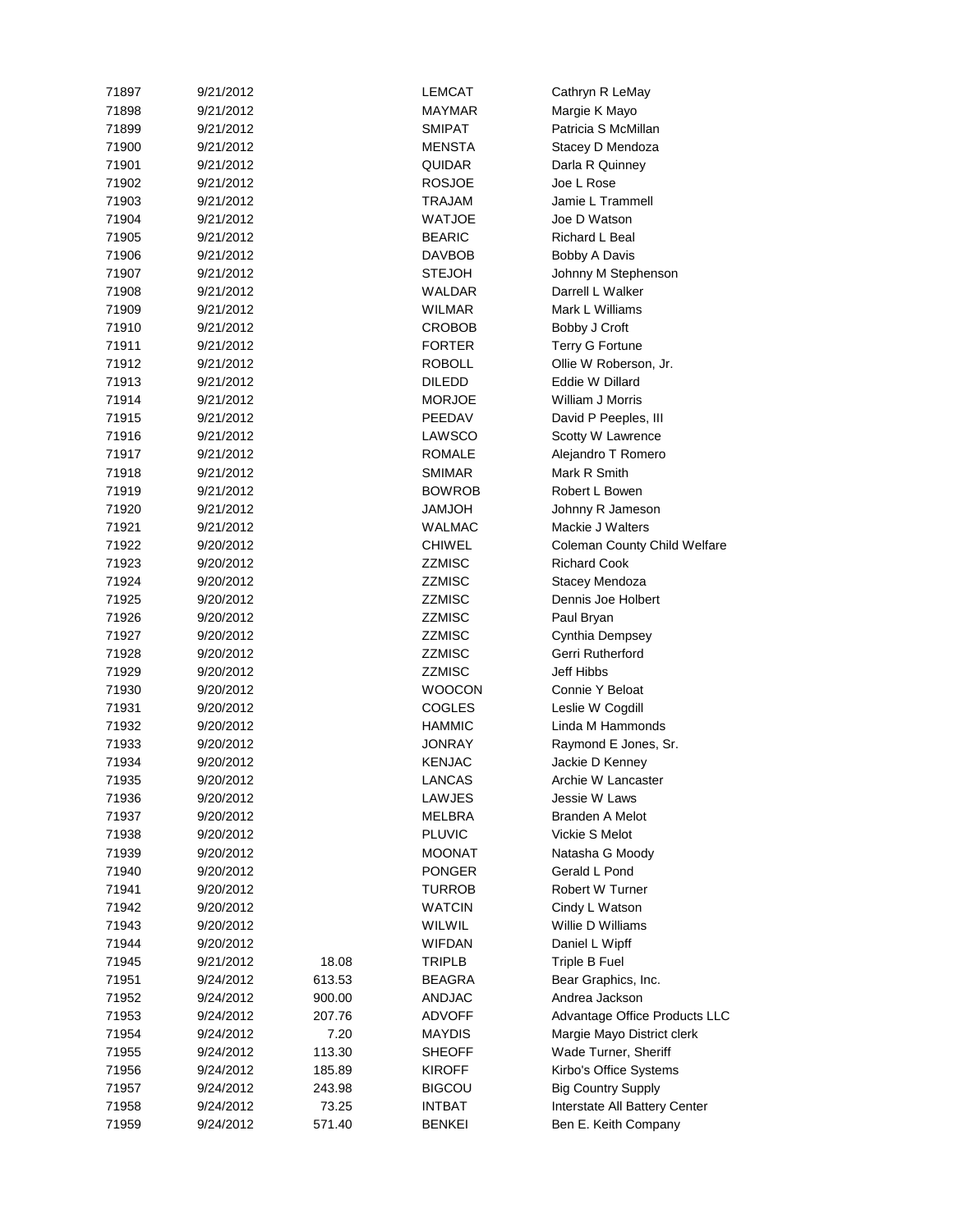| 71897 | 9/21/2012 |        | <b>LEMCAT</b> | Cathryn R LeMay                     |
|-------|-----------|--------|---------------|-------------------------------------|
| 71898 | 9/21/2012 |        | <b>MAYMAR</b> | Margie K Mayo                       |
| 71899 | 9/21/2012 |        | <b>SMIPAT</b> | Patricia S McMillan                 |
| 71900 | 9/21/2012 |        | <b>MENSTA</b> | Stacey D Mendoza                    |
| 71901 | 9/21/2012 |        | <b>QUIDAR</b> | Darla R Quinney                     |
| 71902 | 9/21/2012 |        | <b>ROSJOE</b> | Joe L Rose                          |
| 71903 | 9/21/2012 |        | <b>TRAJAM</b> | Jamie L Trammell                    |
| 71904 | 9/21/2012 |        | <b>WATJOE</b> | Joe D Watson                        |
| 71905 | 9/21/2012 |        | <b>BEARIC</b> | Richard L Beal                      |
| 71906 | 9/21/2012 |        | <b>DAVBOB</b> | Bobby A Davis                       |
| 71907 | 9/21/2012 |        | <b>STEJOH</b> | Johnny M Stephenson                 |
| 71908 | 9/21/2012 |        | <b>WALDAR</b> | Darrell L Walker                    |
| 71909 | 9/21/2012 |        | <b>WILMAR</b> | Mark L Williams                     |
| 71910 | 9/21/2012 |        | <b>CROBOB</b> | Bobby J Croft                       |
| 71911 | 9/21/2012 |        | <b>FORTER</b> | <b>Terry G Fortune</b>              |
| 71912 | 9/21/2012 |        | <b>ROBOLL</b> | Ollie W Roberson, Jr.               |
| 71913 | 9/21/2012 |        | <b>DILEDD</b> | Eddie W Dillard                     |
| 71914 | 9/21/2012 |        | <b>MORJOE</b> | William J Morris                    |
| 71915 | 9/21/2012 |        | PEEDAV        | David P Peeples, III                |
| 71916 | 9/21/2012 |        | LAWSCO        | Scotty W Lawrence                   |
| 71917 | 9/21/2012 |        | <b>ROMALE</b> | Alejandro T Romero                  |
| 71918 | 9/21/2012 |        | <b>SMIMAR</b> | Mark R Smith                        |
| 71919 | 9/21/2012 |        | <b>BOWROB</b> | Robert L Bowen                      |
| 71920 | 9/21/2012 |        | <b>HOLMAL</b> | Johnny R Jameson                    |
| 71921 | 9/21/2012 |        | <b>WALMAC</b> | Mackie J Walters                    |
| 71922 | 9/20/2012 |        | <b>CHIWEL</b> | <b>Coleman County Child Welfare</b> |
| 71923 | 9/20/2012 |        | <b>ZZMISC</b> | <b>Richard Cook</b>                 |
| 71924 | 9/20/2012 |        | <b>ZZMISC</b> | Stacey Mendoza                      |
| 71925 | 9/20/2012 |        | <b>ZZMISC</b> | Dennis Joe Holbert                  |
| 71926 | 9/20/2012 |        | <b>ZZMISC</b> |                                     |
| 71927 |           |        | <b>ZZMISC</b> | Paul Bryan                          |
|       | 9/20/2012 |        |               | Cynthia Dempsey                     |
|       |           |        |               |                                     |
| 71928 | 9/20/2012 |        | <b>ZZMISC</b> | Gerri Rutherford                    |
| 71929 | 9/20/2012 |        | <b>ZZMISC</b> | Jeff Hibbs                          |
| 71930 | 9/20/2012 |        | <b>WOOCON</b> | Connie Y Beloat                     |
| 71931 | 9/20/2012 |        | <b>COGLES</b> | Leslie W Cogdill                    |
| 71932 | 9/20/2012 |        | <b>HAMMIC</b> | Linda M Hammonds                    |
| 71933 | 9/20/2012 |        | <b>JONRAY</b> | Raymond E Jones, Sr.                |
| 71934 | 9/20/2012 |        | <b>KENJAC</b> | Jackie D Kenney                     |
| 71935 | 9/20/2012 |        | <b>LANCAS</b> | Archie W Lancaster                  |
| 71936 | 9/20/2012 |        | LAWJES        | Jessie W Laws                       |
| 71937 | 9/20/2012 |        | <b>MELBRA</b> | <b>Branden A Melot</b>              |
| 71938 | 9/20/2012 |        | <b>PLUVIC</b> | Vickie S Melot                      |
| 71939 | 9/20/2012 |        | <b>MOONAT</b> | Natasha G Moody                     |
| 71940 | 9/20/2012 |        | <b>PONGER</b> | Gerald L Pond                       |
| 71941 | 9/20/2012 |        | <b>TURROB</b> | Robert W Turner                     |
| 71942 | 9/20/2012 |        | <b>WATCIN</b> | Cindy L Watson                      |
| 71943 | 9/20/2012 |        | WILWIL        | Willie D Williams                   |
| 71944 | 9/20/2012 |        | <b>WIFDAN</b> | Daniel L Wipff                      |
| 71945 | 9/21/2012 | 18.08  | <b>TRIPLB</b> | Triple B Fuel                       |
| 71951 | 9/24/2012 | 613.53 | <b>BEAGRA</b> | Bear Graphics, Inc.                 |
| 71952 | 9/24/2012 | 900.00 | <b>ANDJAC</b> | Andrea Jackson                      |
| 71953 | 9/24/2012 | 207.76 | <b>ADVOFF</b> | Advantage Office Products LLC       |
| 71954 | 9/24/2012 | 7.20   | <b>MAYDIS</b> | Margie Mayo District clerk          |
| 71955 | 9/24/2012 | 113.30 | <b>SHEOFF</b> | Wade Turner, Sheriff                |
| 71956 | 9/24/2012 | 185.89 | <b>KIROFF</b> | Kirbo's Office Systems              |
| 71957 | 9/24/2012 | 243.98 | <b>BIGCOU</b> | <b>Big Country Supply</b>           |
| 71958 | 9/24/2012 | 73.25  | <b>INTBAT</b> | Interstate All Battery Center       |